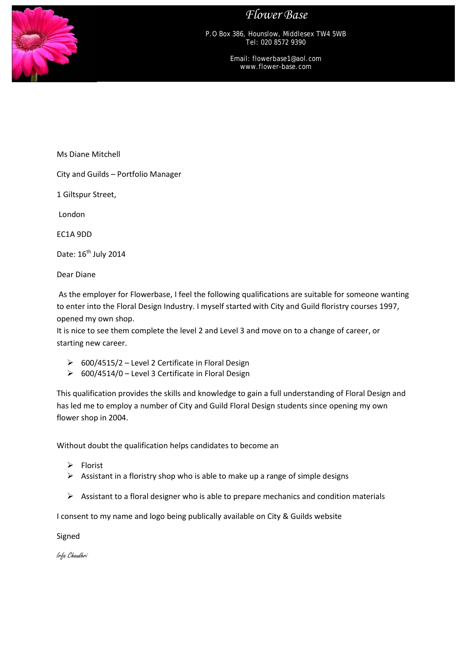*Flower Base*



P.O Box 386, Hounslow, Middlesex TW4 5WB Tel: 020 8572 9390

> Email: flowerbase1@aol.com www.flower-base.com

Ms Diane Mitchell

City and Guilds – Portfolio Manager

1 Giltspur Street,

London

EC1A 9DD

Date: 16<sup>th</sup> July 2014

Dear Diane

As the employer for Flowerbase, I feel the following qualifications are suitable for someone wanting to enter into the Floral Design Industry. I myself started with City and Guild floristry courses 1997, opened my own shop.

It is nice to see them complete the level 2 and Level 3 and move on to a change of career, or starting new career.

- $\geq$  600/4515/2 Level 2 Certificate in Floral Design
- $\geq$  600/4514/0 Level 3 Certificate in Floral Design

This qualification provides the skills and knowledge to gain a full understanding of Floral Design and has led me to employ a number of City and Guild Floral Design students since opening my own flower shop in 2004.

Without doubt the qualification helps candidates to become an

- $\triangleright$  Florist
- $\triangleright$  Assistant in a floristry shop who is able to make up a range of simple designs
- $\triangleright$  Assistant to a floral designer who is able to prepare mechanics and condition materials

I consent to my name and logo being publically available on City & Guilds website

Signed

Irfa Chaudhri